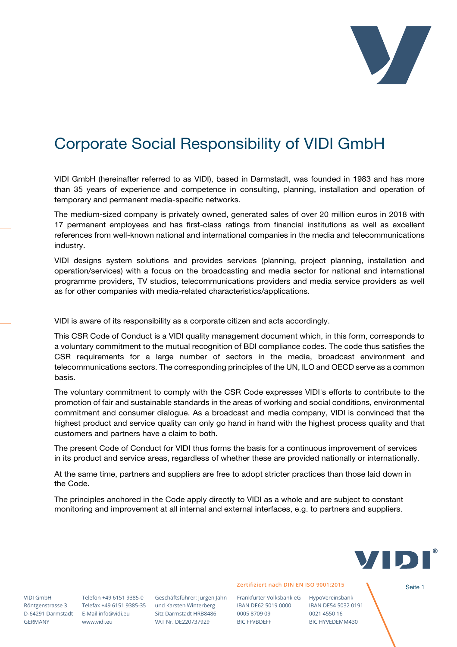

## Corporate Social Responsibility of VIDI GmbH

VIDI GmbH (hereinafter referred to as VIDI), based in Darmstadt, was founded in 1983 and has more than 35 years of experience and competence in consulting, planning, installation and operation of temporary and permanent media-specific networks.

The medium-sized company is privately owned, generated sales of over 20 million euros in 2018 with 17 permanent employees and has first-class ratings from financial institutions as well as excellent references from well-known national and international companies in the media and telecommunications industry.

VIDI designs system solutions and provides services (planning, project planning, installation and operation/services) with a focus on the broadcasting and media sector for national and international programme providers, TV studios, telecommunications providers and media service providers as well as for other companies with media-related characteristics/applications.

VIDI is aware of its responsibility as a corporate citizen and acts accordingly.

This CSR Code of Conduct is a VIDI quality management document which, in this form, corresponds to a voluntary commitment to the mutual recognition of BDI compliance codes. The code thus satisfies the CSR requirements for a large number of sectors in the media, broadcast environment and telecommunications sectors. The corresponding principles of the UN, ILO and OECD serve as a common basis.

The voluntary commitment to comply with the CSR Code expresses VIDI's efforts to contribute to the promotion of fair and sustainable standards in the areas of working and social conditions, environmental commitment and consumer dialogue. As a broadcast and media company, VIDI is convinced that the highest product and service quality can only go hand in hand with the highest process quality and that customers and partners have a claim to both.

The present Code of Conduct for VIDI thus forms the basis for a continuous improvement of services in its product and service areas, regardless of whether these are provided nationally or internationally.

At the same time, partners and suppliers are free to adopt stricter practices than those laid down in the Code.

The principles anchored in the Code apply directly to VIDI as a whole and are subject to constant monitoring and improvement at all internal and external interfaces, e.g. to partners and suppliers.



VIDI GmbH Röntgenstrasse 3 GERMANY

Telefax +49 6151 9385-35 und Karsten Winterberg Telefon +49 6151 9385-0 D-64291 Darmstadt E-Mail info@vidi.eu www.vidi.eu

Geschäftsführer: Jürgen Jahn Sitz Darmstadt HRB8486 VAT Nr. DE220737929

Zertifiziert nach DIN EN ISO 9001:2015

Frankfurter Volksbank eG HypoVereinsbank IBAN DE62 5019 0000 0005 8709 09 BIC FFVBDEFF

IBAN DE54 5032 0191 0021 4550 16 BIC HYVEDEMM430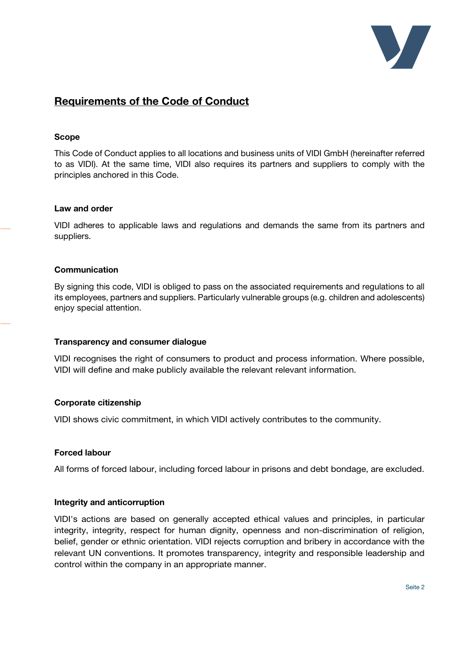

### Requirements of the Code of Conduct

#### Scope

This Code of Conduct applies to all locations and business units of VIDI GmbH (hereinafter referred to as VIDI). At the same time, VIDI also requires its partners and suppliers to comply with the principles anchored in this Code.

#### Law and order

VIDI adheres to applicable laws and regulations and demands the same from its partners and suppliers.

#### Communication

By signing this code, VIDI is obliged to pass on the associated requirements and regulations to all its employees, partners and suppliers. Particularly vulnerable groups (e.g. children and adolescents) enjoy special attention.

#### Transparency and consumer dialogue

VIDI recognises the right of consumers to product and process information. Where possible, VIDI will define and make publicly available the relevant relevant information.

#### Corporate citizenship

VIDI shows civic commitment, in which VIDI actively contributes to the community.

#### Forced labour

All forms of forced labour, including forced labour in prisons and debt bondage, are excluded.

#### Integrity and anticorruption

VIDI's actions are based on generally accepted ethical values and principles, in particular integrity, integrity, respect for human dignity, openness and non-discrimination of religion, belief, gender or ethnic orientation. VIDI rejects corruption and bribery in accordance with the relevant UN conventions. It promotes transparency, integrity and responsible leadership and control within the company in an appropriate manner.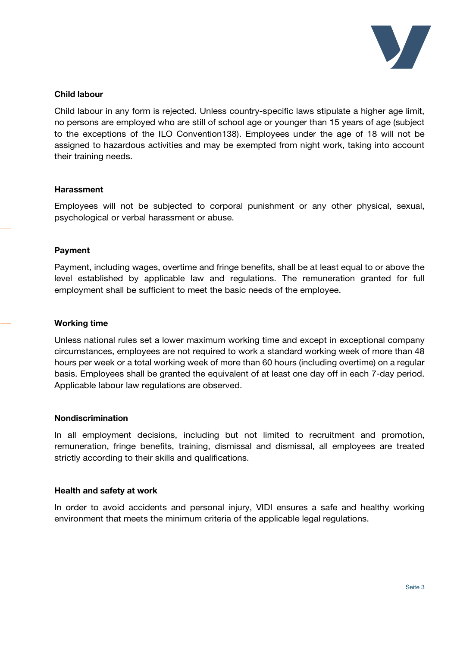

#### Child labour

Child labour in any form is rejected. Unless country-specific laws stipulate a higher age limit, no persons are employed who are still of school age or younger than 15 years of age (subject to the exceptions of the ILO Convention138). Employees under the age of 18 will not be assigned to hazardous activities and may be exempted from night work, taking into account their training needs.

#### **Harassment**

Employees will not be subjected to corporal punishment or any other physical, sexual, psychological or verbal harassment or abuse.

#### Payment

Payment, including wages, overtime and fringe benefits, shall be at least equal to or above the level established by applicable law and regulations. The remuneration granted for full employment shall be sufficient to meet the basic needs of the employee.

#### Working time

Unless national rules set a lower maximum working time and except in exceptional company circumstances, employees are not required to work a standard working week of more than 48 hours per week or a total working week of more than 60 hours (including overtime) on a regular basis. Employees shall be granted the equivalent of at least one day off in each 7-day period. Applicable labour law regulations are observed.

#### Nondiscrimination

In all employment decisions, including but not limited to recruitment and promotion, remuneration, fringe benefits, training, dismissal and dismissal, all employees are treated strictly according to their skills and qualifications.

#### Health and safety at work

In order to avoid accidents and personal injury, VIDI ensures a safe and healthy working environment that meets the minimum criteria of the applicable legal regulations.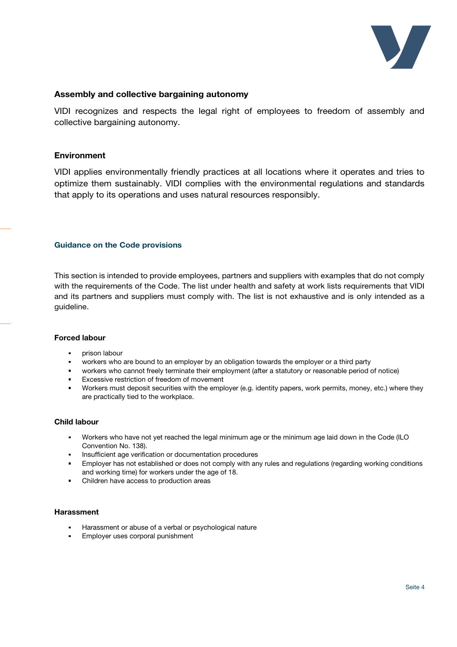

#### Assembly and collective bargaining autonomy

VIDI recognizes and respects the legal right of employees to freedom of assembly and collective bargaining autonomy.

#### Environment

VIDI applies environmentally friendly practices at all locations where it operates and tries to optimize them sustainably. VIDI complies with the environmental regulations and standards that apply to its operations and uses natural resources responsibly.

#### Guidance on the Code provisions

This section is intended to provide employees, partners and suppliers with examples that do not comply with the requirements of the Code. The list under health and safety at work lists requirements that VIDI and its partners and suppliers must comply with. The list is not exhaustive and is only intended as a guideline.

#### Forced labour

- prison labour
- workers who are bound to an employer by an obligation towards the employer or a third party
- workers who cannot freely terminate their employment (after a statutory or reasonable period of notice)
- Excessive restriction of freedom of movement
- Workers must deposit securities with the employer (e.g. identity papers, work permits, money, etc.) where they are practically tied to the workplace.

#### Child labour

- Workers who have not yet reached the legal minimum age or the minimum age laid down in the Code (ILO Convention No. 138).
- Insufficient age verification or documentation procedures
- Employer has not established or does not comply with any rules and regulations (regarding working conditions and working time) for workers under the age of 18.
- Children have access to production areas

#### **Harassment**

- Harassment or abuse of a verbal or psychological nature
- Employer uses corporal punishment